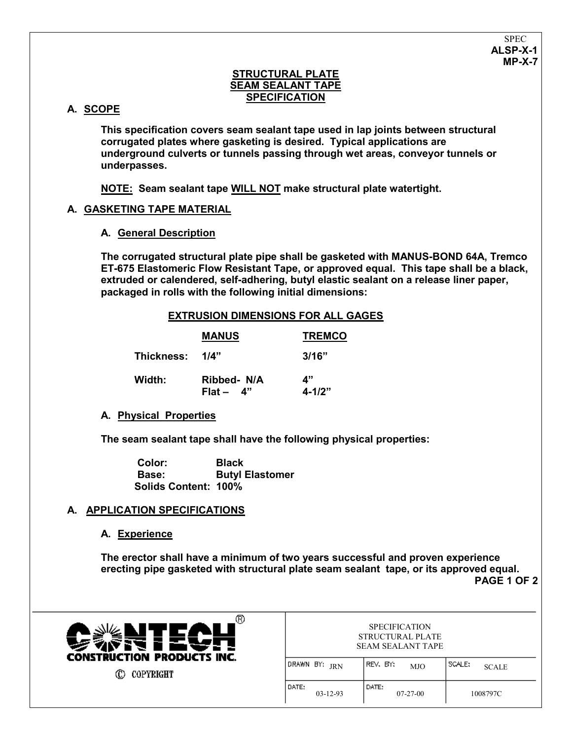## **STRUCTURAL PLATE SEAM SEALANT TAPE SPECIFICATION**

# **A. SCOPE**

**This specification covers seam sealant tape used in lap joints between structural corrugated plates where gasketing is desired. Typical applications are underground culverts or tunnels passing through wet areas, conveyor tunnels or underpasses.**

**NOTE: Seam sealant tape WILL NOT make structural plate watertight.**

# **A. GASKETING TAPE MATERIAL**

### **A. General Description**

**The corrugated structural plate pipe shall be gasketed with MANUS-BOND 64A, Tremco ET-675 Elastomeric Flow Resistant Tape, or approved equal. This tape shall be a black, extruded or calendered, self-adhering, butyl elastic sealant on a release liner paper, packaged in rolls with the following initial dimensions:**

### **EXTRUSION DIMENSIONS FOR ALL GAGES**

|                 | <b>MANUS</b>               | <b>TREMCO</b>    |
|-----------------|----------------------------|------------------|
| Thickness: 1/4" |                            | 3/16"            |
| Width:          | Ribbed- N/A<br>$Flat - 4"$ | 4"<br>$4 - 1/2"$ |

### **A. Physical Properties**

**The seam sealant tape shall have the following physical properties:**

 **Color: Black Base: Butyl Elastomer Solids Content: 100%**

### **A. APPLICATION SPECIFICATIONS**

### **A. Experience**

**The erector shall have a minimum of two years successful and proven experience erecting pipe gasketed with structural plate seam sealant tape, or its approved equal. PAGE 1 OF 2**



**C** COPYRIGHT

| <b>SPECIFICATION</b>     |  |
|--------------------------|--|
| STRUCTURAL PLATE         |  |
| <b>SEAM SEALANT TAPE</b> |  |

| (DRAWN BY: JRN        | REV, BY;<br><b>MJO</b> | I SCALE:<br><b>SCALE</b> |
|-----------------------|------------------------|--------------------------|
| l DATE:<br>$03-12-93$ | DATE:<br>$07-27-00$    | 1008797C                 |